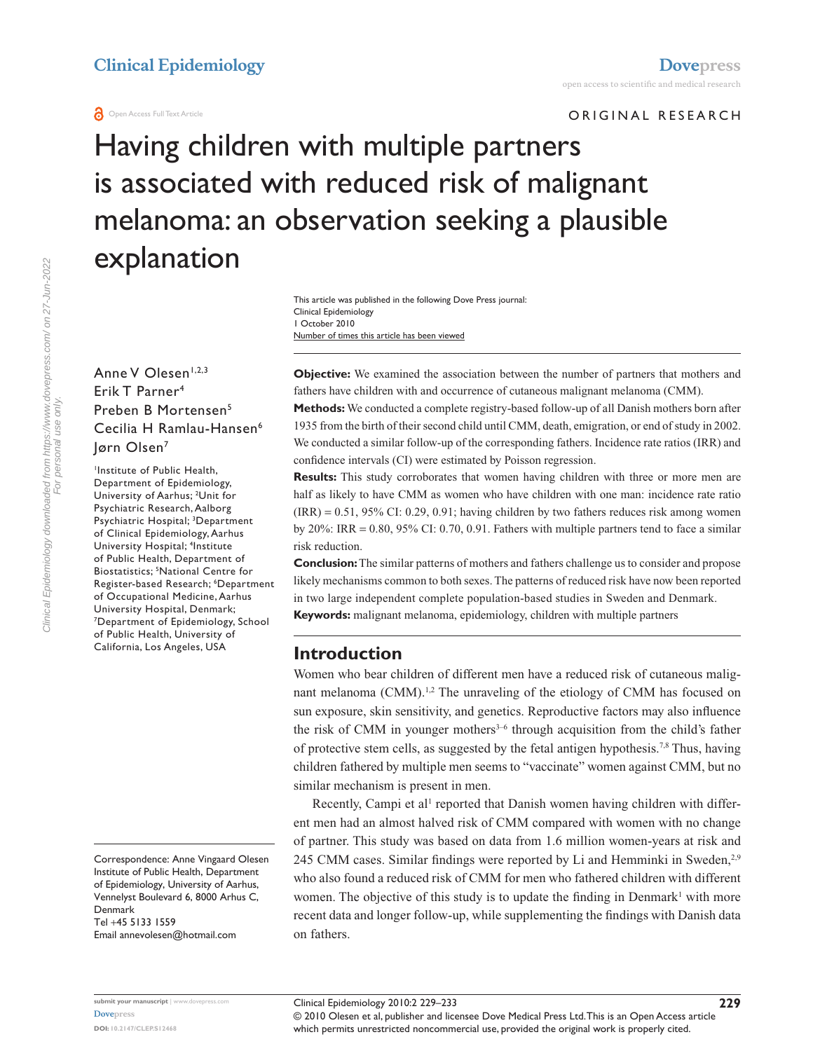#### **O** Open Access Full Text Article

ORIGINAL RESEARCH

# Having children with multiple partners is associated with reduced risk of malignant melanoma: an observation seeking a plausible explanation

Number of times this article has been viewed This article was published in the following Dove Press journal: Clinical Epidemiology 1 October 2010

## Anne V Olesen<sup>1,2,3</sup> Erik T Parner4 Preben B Mortensen5 Cecilia H Ramlau-Hansen6 Jørn Olsen7

Institute of Public Health, Department of Epidemiology, University of Aarhus; <sup>2</sup>Unit for Psychiatric Research, Aalborg Psychiatric Hospital; 3 Department of Clinical Epidemiology, Aarhus University Hospital; 4 Institute of Public Health, Department of Biostatistics; 5 National Centre for Register-based Research; 6 Department of Occupational Medicine, Aarhus University Hospital, Denmark; 7 Department of Epidemiology, School of Public Health, University of California, Los Angeles, USA

Email [annevolesen@hotmail.com](mailto:annevolesen@hotmail.com)

**Objective:** We examined the association between the number of partners that mothers and fathers have children with and occurrence of cutaneous malignant melanoma (CMM). **Methods:** We conducted a complete registry-based follow-up of all Danish mothers born after

1935 from the birth of their second child until CMM, death, emigration, or end of study in 2002. We conducted a similar follow-up of the corresponding fathers. Incidence rate ratios (IRR) and confidence intervals (CI) were estimated by Poisson regression.

**Results:** This study corroborates that women having children with three or more men are half as likely to have CMM as women who have children with one man: incidence rate ratio  $(IRR) = 0.51, 95\% CI: 0.29, 0.91; having children by two fathers reduces risk among women$ by  $20\%$ : IRR = 0.80,  $95\%$  CI: 0.70, 0.91. Fathers with multiple partners tend to face a similar risk reduction.

**Conclusion:** The similar patterns of mothers and fathers challenge us to consider and propose likely mechanisms common to both sexes. The patterns of reduced risk have now been reported in two large independent complete population-based studies in Sweden and Denmark. **Keywords:** malignant melanoma, epidemiology, children with multiple partners

## **Introduction**

Women who bear children of different men have a reduced risk of cutaneous malignant melanoma (CMM).<sup>1,2</sup> The unraveling of the etiology of CMM has focused on sun exposure, skin sensitivity, and genetics. Reproductive factors may also influence the risk of CMM in younger mothers $3-6$  through acquisition from the child's father of protective stem cells, as suggested by the fetal antigen hypothesis.7,8 Thus, having children fathered by multiple men seems to "vaccinate" women against CMM, but no similar mechanism is present in men.

Recently, Campi et al<sup>1</sup> reported that Danish women having children with different men had an almost halved risk of CMM compared with women with no change of partner. This study was based on data from 1.6 million women-years at risk and 245 CMM cases. Similar findings were reported by Li and Hemminki in Sweden,<sup>2,9</sup> who also found a reduced risk of CMM for men who fathered children with different women. The objective of this study is to update the finding in Denmark<sup>1</sup> with more recent data and longer follow-up, while supplementing the findings with Danish data on fathers.

**DOI: 10.2147/CLEP.S12468**

© 2010 Olesen et al, publisher and licensee Dove Medical Press Ltd. This is an Open Access article which permits unrestricted noncommercial use, provided the original work is properly cited.

Correspondence: Anne Vingaard Olesen Institute of Public Health, Department of Epidemiology, University of Aarhus, Vennelyst Boulevard 6, 8000 Arhus C, Denmark Tel +45 5133 1559

**submit your manuscript** | <www.dovepress.com> **[Dovepress](www.dovepress.com)**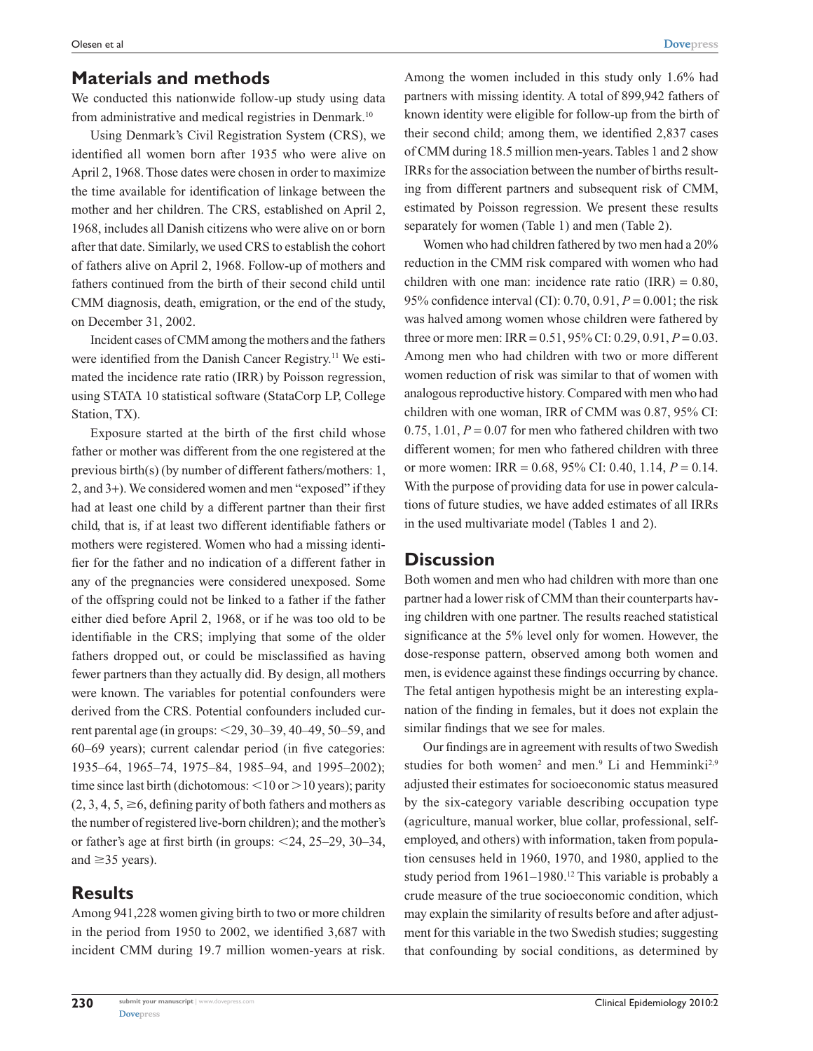### **Materials and methods**

We conducted this nationwide follow-up study using data from administrative and medical registries in Denmark.<sup>10</sup>

Using Denmark's Civil Registration System (CRS), we identified all women born after 1935 who were alive on April 2, 1968. Those dates were chosen in order to maximize the time available for identification of linkage between the mother and her children. The CRS, established on April 2, 1968, includes all Danish citizens who were alive on or born after that date. Similarly, we used CRS to establish the cohort of fathers alive on April 2, 1968. Follow-up of mothers and fathers continued from the birth of their second child until CMM diagnosis, death, emigration, or the end of the study, on December 31, 2002.

Incident cases of CMM among the mothers and the fathers were identified from the Danish Cancer Registry.11 We estimated the incidence rate ratio (IRR) by Poisson regression, using STATA 10 statistical software (StataCorp LP, College Station, TX).

Exposure started at the birth of the first child whose father or mother was different from the one registered at the previous birth(s) (by number of different fathers/mothers: 1, 2, and 3+). We considered women and men "exposed" if they had at least one child by a different partner than their first child, that is, if at least two different identifiable fathers or mothers were registered. Women who had a missing identifier for the father and no indication of a different father in any of the pregnancies were considered unexposed. Some of the offspring could not be linked to a father if the father either died before April 2, 1968, or if he was too old to be identifiable in the CRS; implying that some of the older fathers dropped out, or could be misclassified as having fewer partners than they actually did. By design, all mothers were known. The variables for potential confounders were derived from the CRS. Potential confounders included current parental age (in groups:  $<$ 29, 30–39, 40–49, 50–59, and 60–69 years); current calendar period (in five categories: 1935–64, 1965–74, 1975–84, 1985–94, and 1995–2002); time since last birth (dichotomous:  $\leq 10$  or  $> 10$  years); parity  $(2, 3, 4, 5, \ge 6,$  defining parity of both fathers and mothers as the number of registered live-born children); and the mother's or father's age at first birth (in groups:  $\leq 24$ , 25–29, 30–34, and  $\geq$ 35 years).

# **Results**

Among 941,228 women giving birth to two or more children in the period from 1950 to 2002, we identified 3,687 with incident CMM during 19.7 million women-years at risk.

Among the women included in this study only 1.6% had partners with missing identity. A total of 899,942 fathers of known identity were eligible for follow-up from the birth of their second child; among them, we identified 2,837 cases of CMM during 18.5 million men-years. Tables 1 and 2 show IRRs for the association between the number of births resulting from different partners and subsequent risk of CMM, estimated by Poisson regression. We present these results separately for women (Table 1) and men (Table 2).

Women who had children fathered by two men had a 20% reduction in the CMM risk compared with women who had children with one man: incidence rate ratio  $(IRR) = 0.80$ , 95% confidence interval (CI): 0.70, 0.91, *P* = 0.001; the risk was halved among women whose children were fathered by three or more men: IRR =  $0.51$ ,  $95\%$  CI:  $0.29$ ,  $0.91$ ,  $P = 0.03$ . Among men who had children with two or more different women reduction of risk was similar to that of women with analogous reproductive history. Compared with men who had children with one woman, IRR of CMM was 0.87, 95% CI: 0.75, 1.01,  $P = 0.07$  for men who fathered children with two different women; for men who fathered children with three or more women: IRR = 0.68, 95% CI: 0.40, 1.14, *P* = 0.14. With the purpose of providing data for use in power calculations of future studies, we have added estimates of all IRRs in the used multivariate model (Tables 1 and 2).

### **Discussion**

Both women and men who had children with more than one partner had a lower risk of CMM than their counterparts having children with one partner. The results reached statistical significance at the 5% level only for women. However, the dose-response pattern, observed among both women and men, is evidence against these findings occurring by chance. The fetal antigen hypothesis might be an interesting explanation of the finding in females, but it does not explain the similar findings that we see for males.

Our findings are in agreement with results of two Swedish studies for both women<sup>2</sup> and men.<sup>9</sup> Li and Hemminki<sup>2,9</sup> adjusted their estimates for socioeconomic status measured by the six-category variable describing occupation type (agriculture, manual worker, blue collar, professional, selfemployed, and others) with information, taken from population censuses held in 1960, 1970, and 1980, applied to the study period from 1961–1980.<sup>12</sup> This variable is probably a crude measure of the true socioeconomic condition, which may explain the similarity of results before and after adjustment for this variable in the two Swedish studies; suggesting that confounding by social conditions, as determined by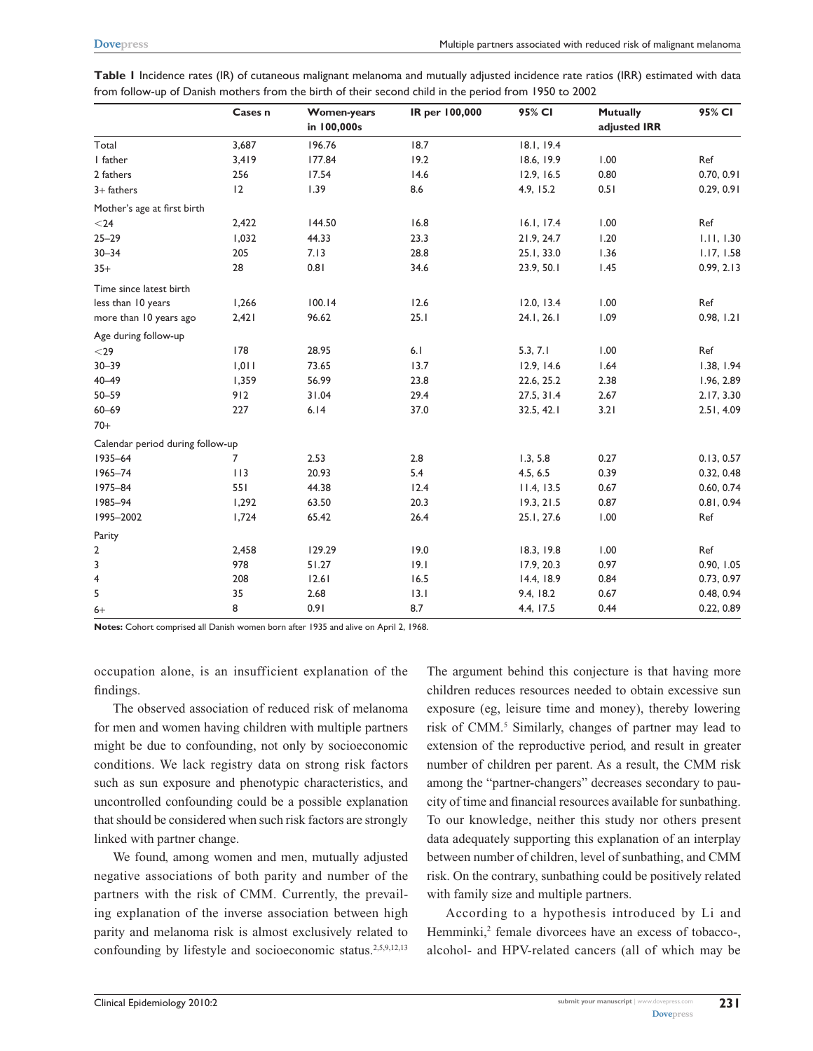|                                  | Cases n | <b>Women-years</b><br>in 100,000s | IR per 100,000 | 95% CI     | <b>Mutually</b><br>adjusted IRR | 95% CI     |
|----------------------------------|---------|-----------------------------------|----------------|------------|---------------------------------|------------|
| Total                            | 3,687   | 196.76                            | 18.7           | 18.1, 19.4 |                                 |            |
| I father                         | 3,419   | 177.84                            | 19.2           | 18.6, 19.9 | 1.00                            | Ref        |
| 2 fathers                        | 256     | 17.54                             | 14.6           | 12.9, 16.5 | 0.80                            | 0.70, 0.91 |
| $3+$ fathers                     | 12      | 1.39                              | 8.6            | 4.9, 15.2  | 0.51                            | 0.29, 0.91 |
| Mother's age at first birth      |         |                                   |                |            |                                 |            |
| $<$ 24                           | 2,422   | 144.50                            | 16.8           | 16.1, 17.4 | 1.00                            | Ref        |
| $25 - 29$                        | 1,032   | 44.33                             | 23.3           | 21.9, 24.7 | 1.20                            | 1.11, 1.30 |
| $30 - 34$                        | 205     | 7.13                              | 28.8           | 25.1, 33.0 | 1.36                            | 1.17, 1.58 |
| $35+$                            | 28      | 0.81                              | 34.6           | 23.9, 50.1 | 1.45                            | 0.99, 2.13 |
| Time since latest birth          |         |                                   |                |            |                                 |            |
| less than 10 years               | 1,266   | 100.14                            | 12.6           | 12.0, 13.4 | 1.00                            | Ref        |
| more than 10 years ago           | 2,421   | 96.62                             | 25.1           | 24.1, 26.1 | 1.09                            | 0.98, 1.21 |
| Age during follow-up             |         |                                   |                |            |                                 |            |
| $<$ 29                           | 178     | 28.95                             | 6.1            | 5.3, 7.1   | 1.00                            | Ref        |
| $30 - 39$                        | 1,011   | 73.65                             | 13.7           | 12.9, 14.6 | 1.64                            | 1.38, 1.94 |
| $40 - 49$                        | 1,359   | 56.99                             | 23.8           | 22.6, 25.2 | 2.38                            | 1.96, 2.89 |
| $50 - 59$                        | 912     | 31.04                             | 29.4           | 27.5, 31.4 | 2.67                            | 2.17, 3.30 |
| $60 - 69$                        | 227     | 6.14                              | 37.0           | 32.5, 42.1 | 3.21                            | 2.51, 4.09 |
| $70+$                            |         |                                   |                |            |                                 |            |
| Calendar period during follow-up |         |                                   |                |            |                                 |            |
| 1935-64                          | 7       | 2.53                              | 2.8            | 1.3, 5.8   | 0.27                            | 0.13, 0.57 |
| 1965-74                          | 113     | 20.93                             | 5.4            | 4.5, 6.5   | 0.39                            | 0.32, 0.48 |
| 1975-84                          | 551     | 44.38                             | 12.4           | 11.4, 13.5 | 0.67                            | 0.60, 0.74 |
| 1985-94                          | 1,292   | 63.50                             | 20.3           | 19.3, 21.5 | 0.87                            | 0.81, 0.94 |
| 1995-2002                        | 1,724   | 65.42                             | 26.4           | 25.1, 27.6 | 1.00                            | Ref        |
| Parity                           |         |                                   |                |            |                                 |            |
| $\overline{2}$                   | 2,458   | 129.29                            | 19.0           | 18.3, 19.8 | 1.00                            | Ref        |
| 3                                | 978     | 51.27                             | 9.1            | 17.9, 20.3 | 0.97                            | 0.90, 1.05 |
| 4                                | 208     | 12.61                             | 16.5           | 14.4, 18.9 | 0.84                            | 0.73, 0.97 |
| 5                                | 35      | 2.68                              | 13.1           | 9.4, 18.2  | 0.67                            | 0.48, 0.94 |
| $6+$                             | 8       | 0.91                              | 8.7            | 4.4, 17.5  | 0.44                            | 0.22, 0.89 |

| Table I Incidence rates (IR) of cutaneous malignant melanoma and mutually adjusted incidence rate ratios (IRR) estimated with data |  |  |
|------------------------------------------------------------------------------------------------------------------------------------|--|--|
| from follow-up of Danish mothers from the birth of their second child in the period from 1950 to 2002                              |  |  |

**Notes:** Cohort comprised all Danish women born after 1935 and alive on April 2, 1968.

occupation alone, is an insufficient explanation of the findings.

The observed association of reduced risk of melanoma for men and women having children with multiple partners might be due to confounding, not only by socioeconomic conditions. We lack registry data on strong risk factors such as sun exposure and phenotypic characteristics, and uncontrolled confounding could be a possible explanation that should be considered when such risk factors are strongly linked with partner change.

We found, among women and men, mutually adjusted negative associations of both parity and number of the partners with the risk of CMM. Currently, the prevailing explanation of the inverse association between high parity and melanoma risk is almost exclusively related to confounding by lifestyle and socioeconomic status.<sup>2,5,9,12,13</sup>

The argument behind this conjecture is that having more children reduces resources needed to obtain excessive sun exposure (eg, leisure time and money), thereby lowering risk of CMM.<sup>5</sup> Similarly, changes of partner may lead to extension of the reproductive period, and result in greater number of children per parent. As a result, the CMM risk among the "partner-changers" decreases secondary to paucity of time and financial resources available for sunbathing. To our knowledge, neither this study nor others present data adequately supporting this explanation of an interplay between number of children, level of sunbathing, and CMM risk. On the contrary, sunbathing could be positively related with family size and multiple partners.

According to a hypothesis introduced by Li and Hemminki,<sup>2</sup> female divorcees have an excess of tobacco-, alcohol- and HPV-related cancers (all of which may be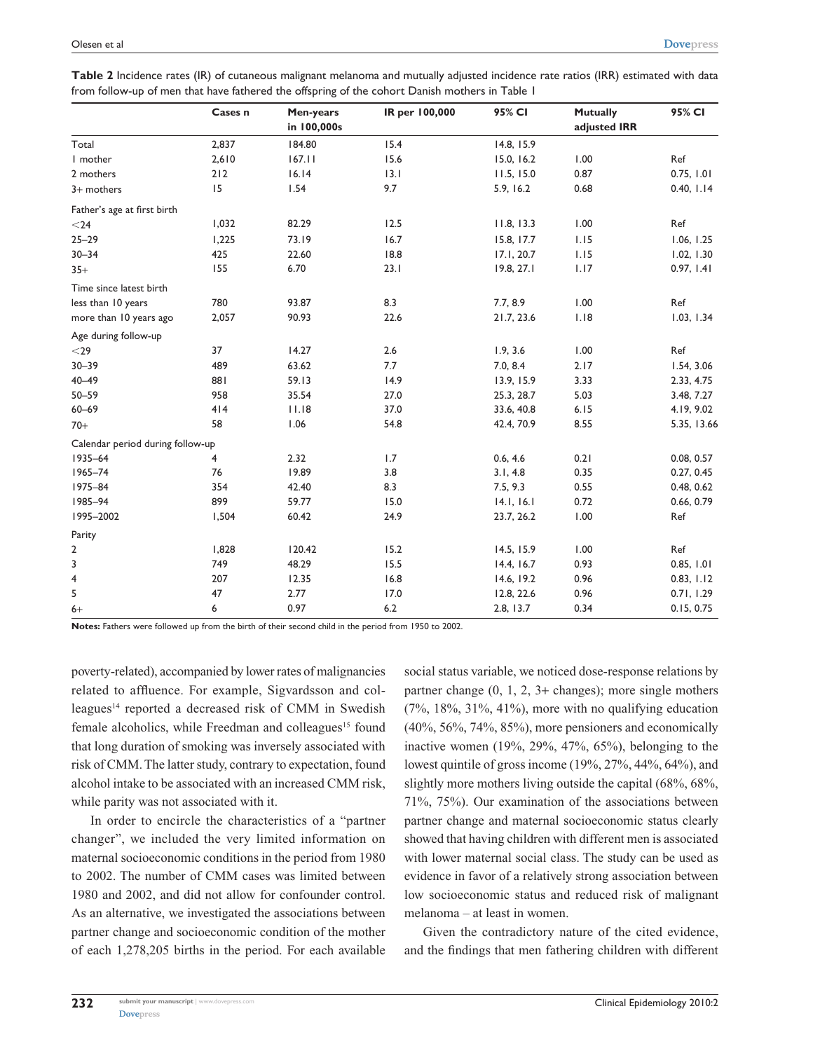| Table 2 Incidence rates (IR) of cutaneous malignant melanoma and mutually adjusted incidence rate ratios (IRR) estimated with data |  |
|------------------------------------------------------------------------------------------------------------------------------------|--|
| from follow-up of men that have fathered the offspring of the cohort Danish mothers in Table 1                                     |  |

|                                  | Cases n | Men-years   | IR per 100,000 | 95% CI     | <b>Mutually</b> | 95% CI      |
|----------------------------------|---------|-------------|----------------|------------|-----------------|-------------|
|                                  |         | in 100,000s |                |            | adjusted IRR    |             |
| Total                            | 2,837   | 184.80      | 15.4           | 14.8, 15.9 |                 |             |
| I mother                         | 2,610   | 167.11      | 15.6           | 15.0, 16.2 | 1.00            | Ref         |
| 2 mothers                        | 212     | 16.14       | 13.1           | 11.5, 15.0 | 0.87            | 0.75, 1.01  |
| $3+$ mothers                     | 15      | 1.54        | 9.7            | 5.9, 16.2  | 0.68            | 0.40, 1.14  |
| Father's age at first birth      |         |             |                |            |                 |             |
| $<$ 24                           | 1,032   | 82.29       | 12.5           | 11.8, 13.3 | 1.00            | Ref         |
| $25 - 29$                        | 1,225   | 73.19       | 16.7           | 15.8, 17.7 | 1.15            | 1.06, 1.25  |
| $30 - 34$                        | 425     | 22.60       | 18.8           | 17.1, 20.7 | 1.15            | 1.02, 1.30  |
| $35+$                            | 155     | 6.70        | 23.1           | 19.8, 27.1 | 1.17            | 0.97, 1.41  |
| Time since latest birth          |         |             |                |            |                 |             |
| less than 10 years               | 780     | 93.87       | 8.3            | 7.7, 8.9   | 1.00            | Ref         |
| more than 10 years ago           | 2,057   | 90.93       | 22.6           | 21.7, 23.6 | 1.18            | 1.03, 1.34  |
| Age during follow-up             |         |             |                |            |                 |             |
| $<$ 29                           | 37      | 14.27       | 2.6            | 1.9, 3.6   | 1.00            | Ref         |
| $30 - 39$                        | 489     | 63.62       | 7.7            | 7.0, 8.4   | 2.17            | 1.54, 3.06  |
| $40 - 49$                        | 881     | 59.13       | 14.9           | 13.9, 15.9 | 3.33            | 2.33, 4.75  |
| $50 - 59$                        | 958     | 35.54       | 27.0           | 25.3, 28.7 | 5.03            | 3.48, 7.27  |
| $60 - 69$                        | 414     | 11.18       | 37.0           | 33.6, 40.8 | $6.15$          | 4.19, 9.02  |
| $70+$                            | 58      | 1.06        | 54.8           | 42.4, 70.9 | 8.55            | 5.35, 13.66 |
| Calendar period during follow-up |         |             |                |            |                 |             |
| 1935-64                          | 4       | 2.32        | 1.7            | 0.6, 4.6   | 0.21            | 0.08, 0.57  |
| 1965-74                          | 76      | 19.89       | 3.8            | 3.1, 4.8   | 0.35            | 0.27, 0.45  |
| 1975-84                          | 354     | 42.40       | 8.3            | 7.5, 9.3   | 0.55            | 0.48, 0.62  |
| 1985-94                          | 899     | 59.77       | 15.0           | 14.1, 16.1 | 0.72            | 0.66, 0.79  |
| 1995-2002                        | 1,504   | 60.42       | 24.9           | 23.7, 26.2 | 1.00            | Ref         |
| Parity                           |         |             |                |            |                 |             |
| 2                                | 1,828   | 120.42      | 15.2           | 14.5, 15.9 | 1.00            | Ref         |
| 3                                | 749     | 48.29       | 15.5           | 14.4, 16.7 | 0.93            | 0.85, 1.01  |
| 4                                | 207     | 12.35       | 16.8           | 14.6, 19.2 | 0.96            | 0.83, 1.12  |
| 5                                | 47      | 2.77        | 17.0           | 12.8, 22.6 | 0.96            | 0.71, 1.29  |
| $6+$                             | 6       | 0.97        | 6.2            | 2.8, 13.7  | 0.34            | 0.15, 0.75  |

**Notes:** Fathers were followed up from the birth of their second child in the period from 1950 to 2002.

poverty-related), accompanied by lower rates of malignancies related to affluence. For example, Sigvardsson and colleagues<sup>14</sup> reported a decreased risk of CMM in Swedish female alcoholics, while Freedman and colleagues<sup>15</sup> found that long duration of smoking was inversely associated with risk of CMM. The latter study, contrary to expectation, found alcohol intake to be associated with an increased CMM risk, while parity was not associated with it.

In order to encircle the characteristics of a "partner changer", we included the very limited information on maternal socioeconomic conditions in the period from 1980 to 2002. The number of CMM cases was limited between 1980 and 2002, and did not allow for confounder control. As an alternative, we investigated the associations between partner change and socioeconomic condition of the mother of each 1,278,205 births in the period. For each available social status variable, we noticed dose-response relations by partner change (0, 1, 2, 3+ changes); more single mothers  $(7\%, 18\%, 31\%, 41\%)$ , more with no qualifying education (40%, 56%, 74%, 85%), more pensioners and economically inactive women (19%, 29%, 47%, 65%), belonging to the lowest quintile of gross income (19%, 27%, 44%, 64%), and slightly more mothers living outside the capital (68%, 68%, 71%, 75%). Our examination of the associations between partner change and maternal socioeconomic status clearly showed that having children with different men is associated with lower maternal social class. The study can be used as evidence in favor of a relatively strong association between low socioeconomic status and reduced risk of malignant melanoma – at least in women.

Given the contradictory nature of the cited evidence, and the findings that men fathering children with different